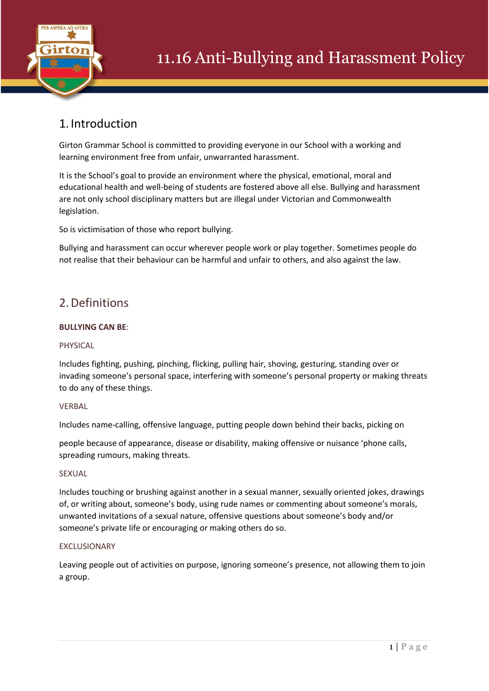

## 1. Introduction

Girton Grammar School is committed to providing everyone in our School with a working and learning environment free from unfair, unwarranted harassment.

It is the School's goal to provide an environment where the physical, emotional, moral and educational health and well-being of students are fostered above all else. Bullying and harassment are not only school disciplinary matters but are illegal under Victorian and Commonwealth legislation.

So is victimisation of those who report bullying.

Bullying and harassment can occur wherever people work or play together. Sometimes people do not realise that their behaviour can be harmful and unfair to others, and also against the law.

## 2.Definitions

## **BULLYING CAN BE**:

## PHYSICAL

Includes fighting, pushing, pinching, flicking, pulling hair, shoving, gesturing, standing over or invading someone's personal space, interfering with someone's personal property or making threats to do any of these things.

## **VERBAL**

Includes name-calling, offensive language, putting people down behind their backs, picking on

people because of appearance, disease or disability, making offensive or nuisance 'phone calls, spreading rumours, making threats.

## **SEXUAL**

Includes touching or brushing against another in a sexual manner, sexually oriented jokes, drawings of, or writing about, someone's body, using rude names or commenting about someone's morals, unwanted invitations of a sexual nature, offensive questions about someone's body and/or someone's private life or encouraging or making others do so.

## EXCLUSIONARY

Leaving people out of activities on purpose, ignoring someone's presence, not allowing them to join a group.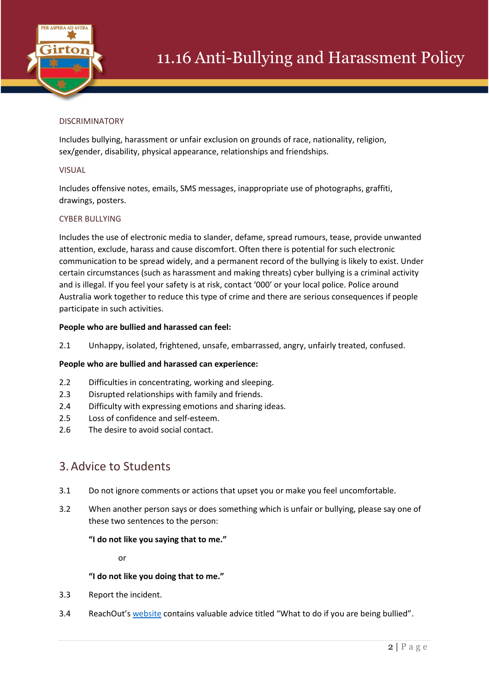

## DISCRIMINATORY

Includes bullying, harassment or unfair exclusion on grounds of race, nationality, religion, sex/gender, disability, physical appearance, relationships and friendships.

## VISUAL

Includes offensive notes, emails, SMS messages, inappropriate use of photographs, graffiti, drawings, posters.

## CYBER BULLYING

Includes the use of electronic media to slander, defame, spread rumours, tease, provide unwanted attention, exclude, harass and cause discomfort. Often there is potential for such electronic communication to be spread widely, and a permanent record of the bullying is likely to exist. Under certain circumstances (such as harassment and making threats) cyber bullying is a criminal activity and is illegal. If you feel your safety is at risk, contact '000' or your local police. Police around Australia work together to reduce this type of crime and there are serious consequences if people participate in such activities.

## **People who are bullied and harassed can feel:**

2.1 Unhappy, isolated, frightened, unsafe, embarrassed, angry, unfairly treated, confused.

## **People who are bullied and harassed can experience:**

- 2.2 Difficulties in concentrating, working and sleeping.
- 2.3 Disrupted relationships with family and friends.
- 2.4 Difficulty with expressing emotions and sharing ideas.
- 2.5 Loss of confidence and self-esteem.
- 2.6 The desire to avoid social contact.

## 3.Advice to Students

- 3.1 Do not ignore comments or actions that upset you or make you feel uncomfortable.
- 3.2 When another person says or does something which is unfair or bullying, please say one of these two sentences to the person:

### **"I do not like you saying that to me."**

or

### **"I do not like you doing that to me."**

- 3.3 Report the incident.
- 3.4 ReachOut's [website](https://au.reachout.com/) contains valuable advice titled "What to do if you are being bullied".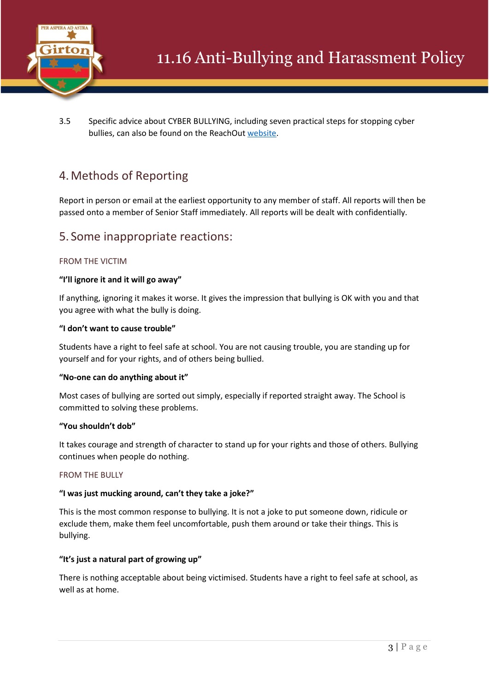

3.5 Specific advice about CYBER BULLYING, including seven practical steps for stopping cyber bullies, can also be found on the ReachOut [website.](https://au.reachout.com/)

## 4.Methods of Reporting

Report in person or email at the earliest opportunity to any member of staff. All reports will then be passed onto a member of Senior Staff immediately. All reports will be dealt with confidentially.

## 5. Some inappropriate reactions:

## FROM THE VICTIM

## **"I'll ignore it and it will go away"**

If anything, ignoring it makes it worse. It gives the impression that bullying is OK with you and that you agree with what the bully is doing.

## **"I don't want to cause trouble"**

Students have a right to feel safe at school. You are not causing trouble, you are standing up for yourself and for your rights, and of others being bullied.

## **"No-one can do anything about it"**

Most cases of bullying are sorted out simply, especially if reported straight away. The School is committed to solving these problems.

## **"You shouldn't dob"**

It takes courage and strength of character to stand up for your rights and those of others. Bullying continues when people do nothing.

### FROM THE BULLY

## **"I was just mucking around, can't they take a joke?"**

This is the most common response to bullying. It is not a joke to put someone down, ridicule or exclude them, make them feel uncomfortable, push them around or take their things. This is bullying.

## **"It's just a natural part of growing up"**

There is nothing acceptable about being victimised. Students have a right to feel safe at school, as well as at home.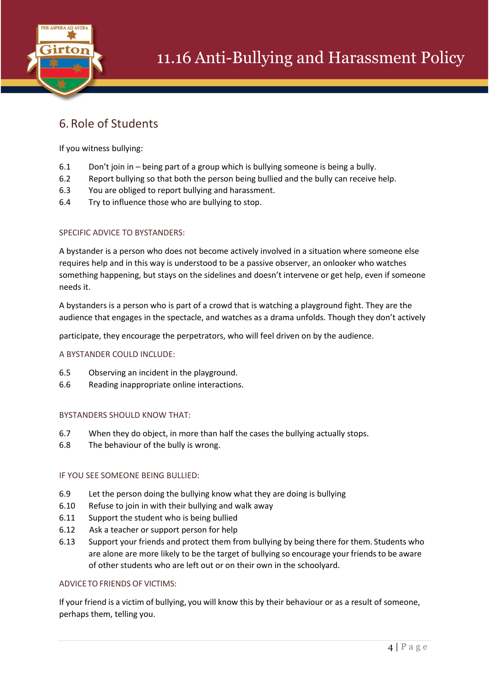

## 6.Role of Students

If you witness bullying:

- 6.1 Don't join in being part of a group which is bullying someone is being a bully.
- 6.2 Report bullying so that both the person being bullied and the bully can receive help.
- 6.3 You are obliged to report bullying and harassment.
- 6.4 Try to influence those who are bullying to stop.

## SPECIFIC ADVICE TO BYSTANDERS:

A bystander is a person who does not become actively involved in a situation where someone else requires help and in this way is understood to be a passive observer, an onlooker who watches something happening, but stays on the sidelines and doesn't intervene or get help, even if someone needs it.

A bystanders is a person who is part of a crowd that is watching a playground fight. They are the audience that engages in the spectacle, and watches as a drama unfolds. Though they don't actively

participate, they encourage the perpetrators, who will feel driven on by the audience.

## A BYSTANDER COULD INCLUDE:

- 6.5 Observing an incident in the playground.
- 6.6 Reading inappropriate online interactions.

## BYSTANDERS SHOULD KNOW THAT:

- 6.7 When they do object, in more than half the cases the bullying actually stops.
- 6.8 The behaviour of the bully is wrong.

## IF YOU SEE SOMEONE BEING BULLIED:

- 6.9 Let the person doing the bullying know what they are doing is bullying
- 6.10 Refuse to join in with their bullying and walk away
- 6.11 Support the student who is being bullied
- 6.12 Ask a teacher or support person for help
- 6.13 Support your friends and protect them from bullying by being there for them. Students who are alone are more likely to be the target of bullying so encourage your friends to be aware of other students who are left out or on their own in the schoolyard.

## ADVICETOFRIENDS OF VICTIMS:

If your friend is a victim of bullying, you will know this by their behaviour or as a result of someone, perhaps them, telling you.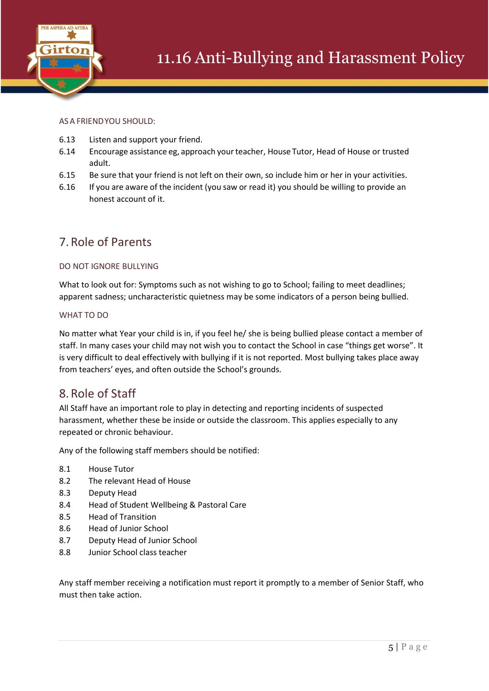

## ASA FRIENDYOU SHOULD:

- 6.13 Listen and support your friend.
- 6.14 Encourage assistance eg, approach yourteacher, House Tutor, Head of House or trusted adult.
- 6.15 Be sure that your friend is not left on their own, so include him or her in your activities.
- 6.16 If you are aware of the incident (you saw or read it) you should be willing to provide an honest account of it.

## 7.Role of Parents

## DO NOT IGNORE BULLYING

What to look out for: Symptoms such as not wishing to go to School; failing to meet deadlines; apparent sadness; uncharacteristic quietness may be some indicators of a person being bullied.

## WHAT TO DO

No matter what Year your child is in, if you feel he/ she is being bullied please contact a member of staff. In many cases your child may not wish you to contact the School in case "things get worse". It is very difficult to deal effectively with bullying if it is not reported. Most bullying takes place away from teachers' eyes, and often outside the School's grounds.

## 8.Role of Staff

All Staff have an important role to play in detecting and reporting incidents of suspected harassment, whether these be inside or outside the classroom. This applies especially to any repeated or chronic behaviour.

Any of the following staff members should be notified:

- 8.1 House Tutor
- 8.2 The relevant Head of House
- 8.3 Deputy Head
- 8.4 Head of Student Wellbeing & Pastoral Care
- 8.5 Head of Transition
- 8.6 Head of Junior School
- 8.7 Deputy Head of Junior School
- 8.8 Junior School class teacher

Any staff member receiving a notification must report it promptly to a member of Senior Staff, who must then take action.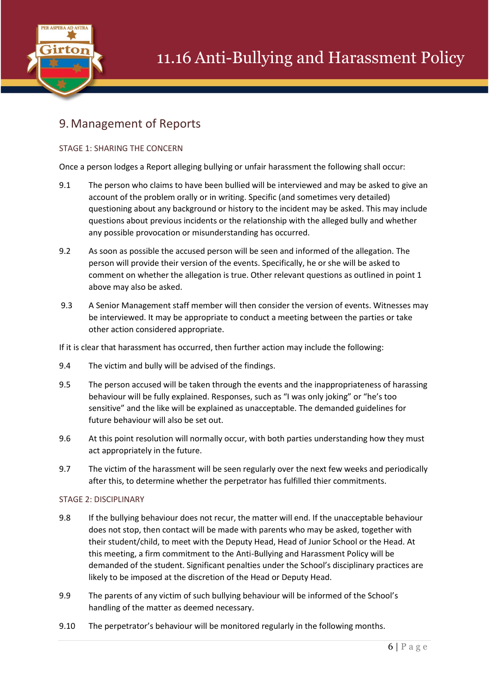

## 9.Management of Reports

## STAGE 1: SHARING THE CONCERN

Once a person lodges a Report alleging bullying or unfair harassment the following shall occur:

- 9.1 The person who claims to have been bullied will be interviewed and may be asked to give an account of the problem orally or in writing. Specific (and sometimes very detailed) questioning about any background or history to the incident may be asked. This may include questions about previous incidents or the relationship with the alleged bully and whether any possible provocation or misunderstanding has occurred.
- 9.2 As soon as possible the accused person will be seen and informed of the allegation. The person will provide their version of the events. Specifically, he or she will be asked to comment on whether the allegation is true. Other relevant questions as outlined in point 1 above may also be asked.
- 9.3 A Senior Management staff member will then consider the version of events. Witnesses may be interviewed. It may be appropriate to conduct a meeting between the parties or take other action considered appropriate.

If it is clear that harassment has occurred, then further action may include the following:

- 9.4 The victim and bully will be advised of the findings.
- 9.5 The person accused will be taken through the events and the inappropriateness of harassing behaviour will be fully explained. Responses, such as "I was only joking" or "he's too sensitive" and the like will be explained as unacceptable. The demanded guidelines for future behaviour will also be set out.
- 9.6 At this point resolution will normally occur, with both parties understanding how they must act appropriately in the future.
- 9.7 The victim of the harassment will be seen regularly over the next few weeks and periodically after this, to determine whether the perpetrator has fulfilled thier commitments.

## STAGE 2: DISCIPLINARY

- 9.8 If the bullying behaviour does not recur, the matter will end. If the unacceptable behaviour does not stop, then contact will be made with parents who may be asked, together with their student/child, to meet with the Deputy Head, Head of Junior School or the Head. At this meeting, a firm commitment to the Anti-Bullying and Harassment Policy will be demanded of the student. Significant penalties under the School's disciplinary practices are likely to be imposed at the discretion of the Head or Deputy Head.
- 9.9 The parents of any victim of such bullying behaviour will be informed of the School's handling of the matter as deemed necessary.
- 9.10 The perpetrator's behaviour will be monitored regularly in the following months.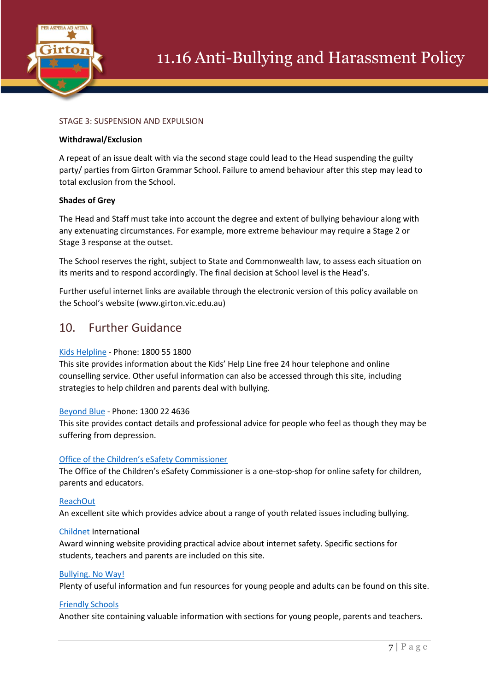

## STAGE 3: SUSPENSION AND EXPULSION

### **Withdrawal/Exclusion**

A repeat of an issue dealt with via the second stage could lead to the Head suspending the guilty party/ parties from Girton Grammar School. Failure to amend behaviour after this step may lead to total exclusion from the School.

### **Shades of Grey**

The Head and Staff must take into account the degree and extent of bullying behaviour along with any extenuating circumstances. For example, more extreme behaviour may require a Stage 2 or Stage 3 response at the outset.

The School reserves the right, subject to State and Commonwealth law, to assess each situation on its merits and to respond accordingly. The final decision at School level is the Head's.

Further useful internet links are available through the electronic version of this policy available on the School's website (www.girton.vic.edu.au)

## 10. Further Guidance

## [Kids Helpline](https://kidshelpline.com.au/) - Phone: 1800 55 1800

This site provides information about the Kids' Help Line free 24 hour telephone and online counselling service. Other useful information can also be accessed through this site, including strategies to help children and parents deal with bullying.

## [Beyond Blue](https://www.beyondblue.org.au/) - Phone: 1300 22 4636

This site provides contact details and professional advice for people who feel as though they may be suffering from depression.

## [Office of the Children's eSafety Commissioner](https://www.esafety.gov.au/)

The Office of the Children's eSafety Commissioner is a one-stop-shop for online safety for children, parents and educators.

## [ReachOut](https://au.reachout.com/)

An excellent site which provides advice about a range of youth related issues including bullying.

### [Childnet](https://www.childnet.com/) International

Award winning website providing practical advice about internet safety. Specific sections for students, teachers and parents are included on this site.

### [Bullying. No Way!](https://bullyingnoway.gov.au/)

Plenty of useful information and fun resources for young people and adults can be found on this site.

### [Friendly Schools](https://friendlyschools.com.au/)

Another site containing valuable information with sections for young people, parents and teachers.